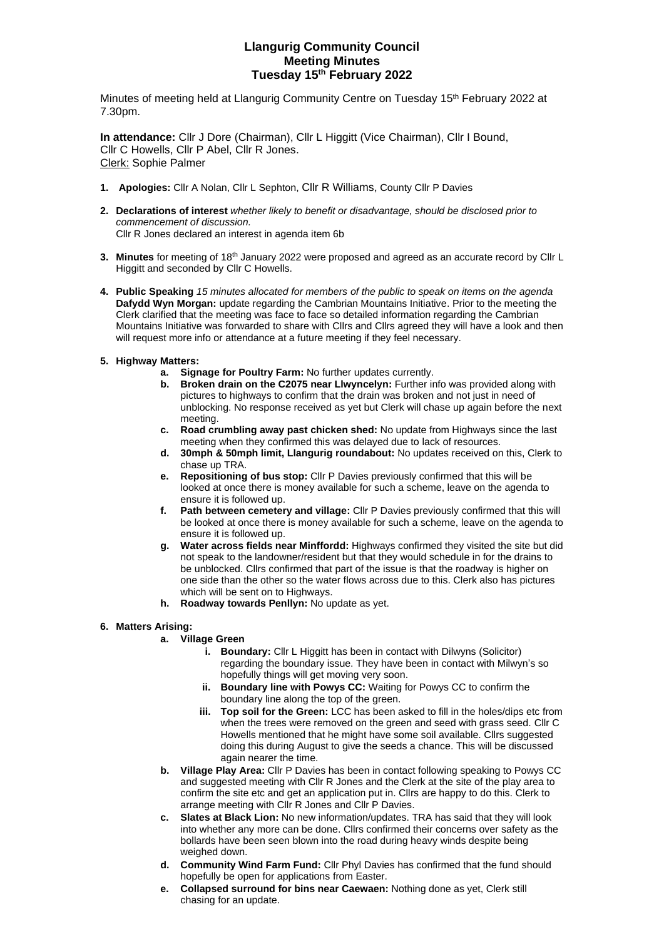# **Llangurig Community Council Meeting Minutes Tuesday 15 th February 2022**

Minutes of meeting held at Llangurig Community Centre on Tuesday 15<sup>th</sup> February 2022 at 7.30pm.

**In attendance:** Cllr J Dore (Chairman), Cllr L Higgitt (Vice Chairman), Cllr I Bound, Cllr C Howells, Cllr P Abel, Cllr R Jones. Clerk: Sophie Palmer

- **1. Apologies:** Cllr A Nolan, Cllr L Sephton, Cllr R Williams, County Cllr P Davies
- **2. Declarations of interest** *whether likely to benefit or disadvantage, should be disclosed prior to commencement of discussion.*  Cllr R Jones declared an interest in agenda item 6b
- **3. Minutes** for meeting of 18th January 2022 were proposed and agreed as an accurate record by Cllr L Higgitt and seconded by Cllr C Howells.
- **4. Public Speaking** *15 minutes allocated for members of the public to speak on items on the agenda* **Dafydd Wyn Morgan:** update regarding the Cambrian Mountains Initiative. Prior to the meeting the Clerk clarified that the meeting was face to face so detailed information regarding the Cambrian Mountains Initiative was forwarded to share with Cllrs and Cllrs agreed they will have a look and then will request more info or attendance at a future meeting if they feel necessary.
- **5. Highway Matters:** 
	- **a. Signage for Poultry Farm:** No further updates currently.
	- **b.** Broken drain on the C2075 near Llwyncelyn: Further info was provided along with pictures to highways to confirm that the drain was broken and not just in need of unblocking. No response received as yet but Clerk will chase up again before the next meeting.
	- **c. Road crumbling away past chicken shed:** No update from Highways since the last meeting when they confirmed this was delayed due to lack of resources.
	- **d. 30mph & 50mph limit, Llangurig roundabout:** No updates received on this, Clerk to chase up TRA.
	- **e. Repositioning of bus stop:** Cllr P Davies previously confirmed that this will be looked at once there is money available for such a scheme, leave on the agenda to ensure it is followed up.
	- **f. Path between cemetery and village:** Cllr P Davies previously confirmed that this will be looked at once there is money available for such a scheme, leave on the agenda to ensure it is followed up.
	- **g. Water across fields near Minffordd:** Highways confirmed they visited the site but did not speak to the landowner/resident but that they would schedule in for the drains to be unblocked. Cllrs confirmed that part of the issue is that the roadway is higher on one side than the other so the water flows across due to this. Clerk also has pictures which will be sent on to Highways.
	- **h. Roadway towards Penllyn:** No update as yet.

# **6. Matters Arising:**

# **a. Village Green**

- **i.** Boundary: Cllr L Higgitt has been in contact with Dilwyns (Solicitor) regarding the boundary issue. They have been in contact with Milwyn's so hopefully things will get moving very soon.
- **ii. Boundary line with Powys CC:** Waiting for Powys CC to confirm the boundary line along the top of the green.
- **iii. Top soil for the Green:** LCC has been asked to fill in the holes/dips etc from when the trees were removed on the green and seed with grass seed. Cllr C Howells mentioned that he might have some soil available. Cllrs suggested doing this during August to give the seeds a chance. This will be discussed again nearer the time.
- **b. Village Play Area:** Cllr P Davies has been in contact following speaking to Powys CC and suggested meeting with Cllr R Jones and the Clerk at the site of the play area to confirm the site etc and get an application put in. Cllrs are happy to do this. Clerk to arrange meeting with Cllr R Jones and Cllr P Davies.
- **c. Slates at Black Lion:** No new information/updates. TRA has said that they will look into whether any more can be done. Cllrs confirmed their concerns over safety as the bollards have been seen blown into the road during heavy winds despite being weighed down.
- **d. Community Wind Farm Fund:** Cllr Phyl Davies has confirmed that the fund should hopefully be open for applications from Easter.
- **e. Collapsed surround for bins near Caewaen:** Nothing done as yet, Clerk still chasing for an update.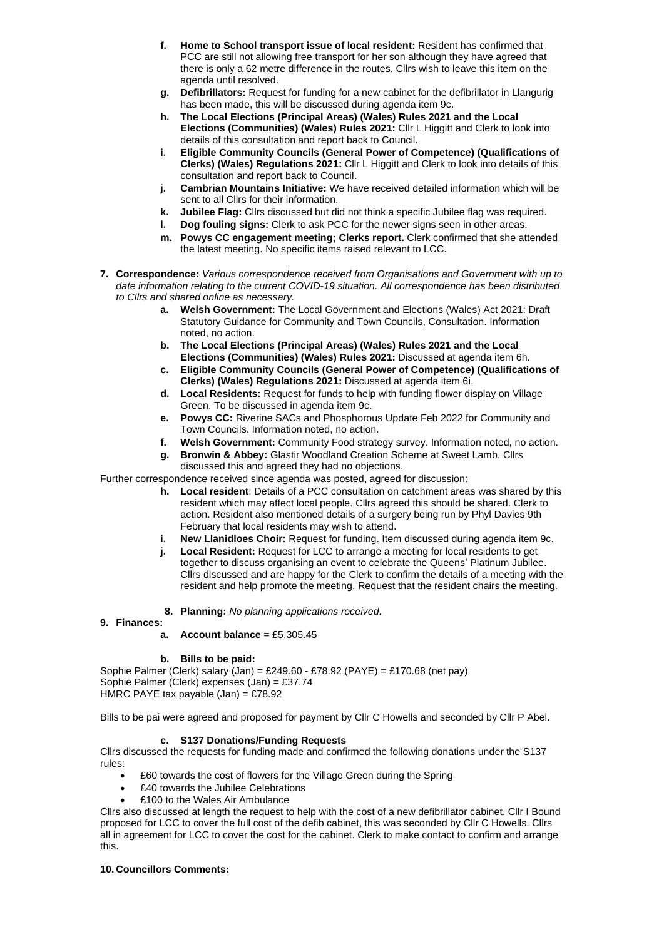- **f. Home to School transport issue of local resident:** Resident has confirmed that PCC are still not allowing free transport for her son although they have agreed that there is only a 62 metre difference in the routes. Cllrs wish to leave this item on the agenda until resolved.
- **g. Defibrillators:** Request for funding for a new cabinet for the defibrillator in Llangurig has been made, this will be discussed during agenda item 9c.
- **h. The Local Elections (Principal Areas) (Wales) Rules 2021 and the Local Elections (Communities) (Wales) Rules 2021:** Cllr L Higgitt and Clerk to look into details of this consultation and report back to Council.
- **i. Eligible Community Councils (General Power of Competence) (Qualifications of Clerks) (Wales) Regulations 2021:** Cllr L Higgitt and Clerk to look into details of this consultation and report back to Council.
- **j. Cambrian Mountains Initiative:** We have received detailed information which will be sent to all Cllrs for their information.
- **k. Jubilee Flag:** Cllrs discussed but did not think a specific Jubilee flag was required.
- **l. Dog fouling signs:** Clerk to ask PCC for the newer signs seen in other areas.
- **m. Powys CC engagement meeting; Clerks report.** Clerk confirmed that she attended the latest meeting. No specific items raised relevant to LCC.
- **7. Correspondence:** *Various correspondence received from Organisations and Government with up to date information relating to the current COVID-19 situation. All correspondence has been distributed to Cllrs and shared online as necessary.*
	- **a. Welsh Government:** The Local Government and Elections (Wales) Act 2021: Draft Statutory Guidance for Community and Town Councils, Consultation. Information noted, no action.
	- **b. The Local Elections (Principal Areas) (Wales) Rules 2021 and the Local Elections (Communities) (Wales) Rules 2021:** Discussed at agenda item 6h.
	- **c. Eligible Community Councils (General Power of Competence) (Qualifications of Clerks) (Wales) Regulations 2021:** Discussed at agenda item 6i.
	- **d. Local Residents:** Request for funds to help with funding flower display on Village Green. To be discussed in agenda item 9c.
	- **e. Powys CC:** Riverine SACs and Phosphorous Update Feb 2022 for Community and Town Councils. Information noted, no action.
	- **f. Welsh Government:** Community Food strategy survey. Information noted, no action.
	- **g. Bronwin & Abbey:** Glastir Woodland Creation Scheme at Sweet Lamb. Cllrs discussed this and agreed they had no objections.

Further correspondence received since agenda was posted, agreed for discussion:

- **h. Local resident**: Details of a PCC consultation on catchment areas was shared by this resident which may affect local people. Cllrs agreed this should be shared. Clerk to action. Resident also mentioned details of a surgery being run by Phyl Davies 9th February that local residents may wish to attend.
- **i. New Llanidloes Choir:** Request for funding. Item discussed during agenda item 9c.
- **j. Local Resident:** Request for LCC to arrange a meeting for local residents to get together to discuss organising an event to celebrate the Queens' Platinum Jubilee. Cllrs discussed and are happy for the Clerk to confirm the details of a meeting with the resident and help promote the meeting. Request that the resident chairs the meeting.
- **8. Planning:** *No planning applications received.*

#### **9. Finances: a. Account balance** = £5,305.45

**b. Bills to be paid:**

Sophie Palmer (Clerk) salary (Jan) = £249.60 - £78.92 (PAYE) = £170.68 (net pay) Sophie Palmer (Clerk) expenses (Jan) = £37.74 HMRC PAYE tax payable (Jan) = £78.92

Bills to be pai were agreed and proposed for payment by Cllr C Howells and seconded by Cllr P Abel.

# **c. S137 Donations/Funding Requests**

Cllrs discussed the requests for funding made and confirmed the following donations under the S137 rules:

- £60 towards the cost of flowers for the Village Green during the Spring
- £40 towards the Jubilee Celebrations
- £100 to the Wales Air Ambulance

Cllrs also discussed at length the request to help with the cost of a new defibrillator cabinet. Cllr I Bound proposed for LCC to cover the full cost of the defib cabinet, this was seconded by Cllr C Howells. Cllrs all in agreement for LCC to cover the cost for the cabinet. Clerk to make contact to confirm and arrange this.

# **10. Councillors Comments:**